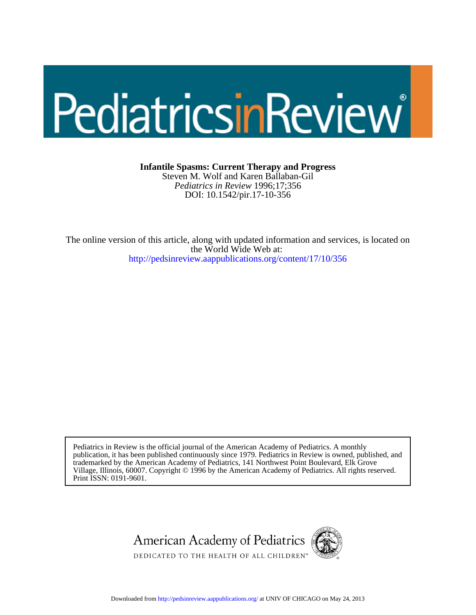

## **Infantile Spasms: Current Therapy and Progress**

DOI: 10.1542/pir.17-10-356 *Pediatrics in Review* 1996;17;356 Steven M. Wolf and Karen Ballaban-Gil

<http://pedsinreview.aappublications.org/content/17/10/356> the World Wide Web at: The online version of this article, along with updated information and services, is located on

Print ISSN: 0191-9601. Village, Illinois, 60007. Copyright © 1996 by the American Academy of Pediatrics. All rights reserved. trademarked by the American Academy of Pediatrics, 141 Northwest Point Boulevard, Elk Grove publication, it has been published continuously since 1979. Pediatrics in Review is owned, published, and Pediatrics in Review is the official journal of the American Academy of Pediatrics. A monthly





DEDICATED TO THE HEALTH OF ALL CHILDREN™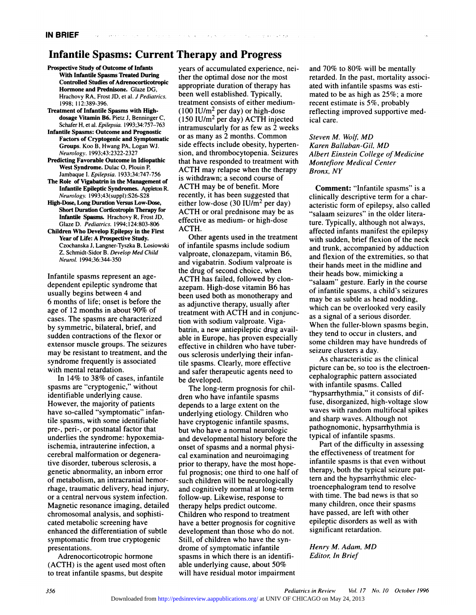# **Infantile Spasms: Current Therapy and Progress<br>Prospective Study of Outcome of Infants**<br>With Infantile Sparms Tracted During and accumulated experience, nei

**N BRIEF<br>
Infantile Spasms: Currer**<br>
Prospective Study of Outcome of Infants<br>
With Infantile Spasms Treated During Prospective Study of Outcome of Infants<br>With Infantile Spasms Treated During<br>Controlled Studies of Adrenocorticotropi<br>Hormone and Prednisone. Glaze DG,<br>Hrachovy RA, Frost JD, et al. *J Pediatrics.*<br>1998; 112:389-396.<br>Treat **Controlled Studies of Adrenocorticotropic**<br>**Hormone and Prednisone.** Glaze DG,<br>Hrachovy RA, Frost JD, et al. *J Pediatrics.*<br>1998; 112:389-396.<br>**timent of Infantile Spasms with High-<br>dosage Vitamin B6. Pietz J, Benninger** 

**IP98**; 112:389-396.<br> **Infantile Spasms with High-**<br> **Infantile Spasms: Outcome and Prognostic Schafer H, et al.** *Epilepsia***. 1993;34:757–763<br>
<b>Infantile Spasms: Outcome and Prognostic Factors of Cryptogenic and Symptomati** 

tment of Infantile Spasms with High-<br>dosage Vitamin B6. Pietz J, Benninger C,<br>Schafer H, et al. *Epilepsia*. 1993;34:757–763<br>strile Spasms: Outcome and Prognostic<br>Factors of Cryptogenic and Symptomatic<br>Groups. Koo B, Hwang dosage Vitamin B6. Pietz J, Benninger C,<br>Schafer H, et al. *Epilepsia*. 1993;34:757–763<br>ntile Spasms: Outcome and Prognostic<br>Factors of Cryptogenic and Symptomat<br>Groups. Koo B, Hwang PA, Logan WJ.<br>*Neurology*. 1993;43:2322 *Neurology.* 1993;43:2322-2327

- Groups. Koo B, Hwang PA, Logan WJ.<br> *Neurology*. 1993;43:2322-2327<br> **Predicting Favorable Outcome in Idiopathic**<br>
West Syndrome. Dulac O, Plouin P.<br>
Jambaque I. Epilepsia. 1933;34:747-756<br> **The Role of Vigabatrin in the Ma** Jambaque I. *Epilepsia.* 1933;34:747-756
- **The Role of State of Neurology.** 1993;43:2322-2327<br> **Predicting Favorable Outcome in Idiopathic** the West Syndrome. Dulac O, Plouin P.<br>
West Syndrome. Dulac O, Plouin P.<br>
Jambaque I. Epilepsia. 1933;34:747-756<br> **The Role** *Neurology.* 1993;43(suppl):S26-S28 Jambaque 1. *Epitepsia.* 1933;34:/4/-/56<br>The Role of Vigabatrin in the Management<br>Infantile Epiteptic Syndromes. Appletor<br>Neurology. 1993;43(suppl):S26-S28<br>High-Dose, Long Duration Versus Low-Dose,<br>Short Duration Corticotr
- **KOLE OF VIGADATTIN IN THE MANAGEMERT CORTERN AND METALLY ACTOR CORTERN ACTORS AND THE PLONE CORTERN POSECT ACTORS THE PLONE CORTERN DETERNATION** Correction Corticotropin Therapy for After Infantile Spasms. Hrachovy R, Fro Infantile Epileptic Syndromes. Appleton R.<br> *Neurology.* 1993;43(suppl):S26-S28<br>
High-Dose, Long Duration Versus Low-Dose,<br>
Short Duration Corticotropin Therapy for<br>
Infantile Spasms. Hrachovy R, Frost JD,<br>
Glaze D. *Pedia*
- **Intantile Spasms.** Hrachovy R, Frost JD,<br>Glaze D. *Pediatrics*. 1994;124:803-806<br>**dren Who Develop Epilepsy in the First**<br>Year of Life: A Prospective Study.<br>Czochanska J, Langner-Tyszka B, Losiowski<br>Z, Schmidt-Sidor B. *D* Glaze D. *Pediatrics.* 1994;124:803-806<br>**dren Who Develop Epilepsy in the First<br>Year of Life: A Prospective Study.<br>Czochanska J. Langner-Tyszka B. Losiowski<br>Z. Schmidt-Sidor B.** *Develop Med Child***<br>***Neurol.* **1994;36:344-350** Fear of Elie: A Frospective Study.<br>Czochanska J, Langner-Tyszka B, Losis<br>Z, Schmidt-Sidor B. *Develop Med Chil.*<br>*Neurol*. 1994;36:344-350<br>**Infantile spasms represent an age-**dependent epileptic syndrome tha

Z. Schmidt-Sidor B. *Develop Med Child<br>Neurol*. 1994;36:344-350<br>Infantile spasms represent an age-<br>dependent epileptic syndrome that<br>usually begins between 4 and Neurol. 1994;36:344-350<br>Infantile spasms represent an age-<br>dependent epileptic syndrome that<br>usually begins between 4 and<br>6 months of life; onset is before the Infantile spasms represent an age-<br>dependent epileptic syndrome that<br>usually begins between 4 and<br>6 months of life; onset is before the<br>age of 12 months in about 90% of Infantile spasms represent an age-<br>dependent epileptic syndrome that<br>usually begins between 4 and<br>6 months of life; onset is before the<br>age of 12 months in about 90% of<br>cases. The spasms are characterized dependent epileptic syndrome that<br>usually begins between 4 and<br>6 months of life; onset is before the<br>age of 12 months in about 90% of<br>cases. The spasms are characterized<br>by symmetric, bilateral, brief, and usually begins between 4 and<br>6 months of life; onset is before the<br>age of 12 months in about 90% of<br>cases. The spasms are characterized<br>by symmetric, bilateral, brief, and<br>sudden contractions of the flexor or 6 months of life; onset is before the age of 12 months in about  $90\%$  of cases. The spasms are characterized by symmetric, bilateral, brief, and sudden contractions of the flexor or extensor muscle groups. The seizures age of 12 months in about 90% of<br>cases. The spasms are characterized<br>by symmetric, bilateral, brief, and<br>sudden contractions of the flexor or<br>extensor muscle groups. The seizures<br>may be resistant to treatment, and the cases. The spasms are characterized<br>by symmetric, bilateral, brief, and<br>sudden contractions of the flexor or<br>extensor muscle groups. The seizures<br>may be resistant to treatment, and the<br>syndrome frequently is associated by symmetric, bilateral, brief, and<br>sudden contractions of the flexor or<br>extensor muscle groups. The seizures<br>may be resistant to treatment, and the<br>syndrome frequently is associated<br>with mental retardation. sudden contractions of<br>extensor muscle groups<br>may be resistant to trea<br>syndrome frequently is<br>with mental retardation<br>In 14% to 38% of ca ensor muscle groups. The seizures<br>y be resistant to treatment, and the<br>drome frequently is associated<br>h mental retardation.<br>In 14% to 38% of cases, infantile<br>sms are "cryptogenic," without

may be resistant to treatment, and the<br>syndrome frequently is associated<br>with mental retardation.<br>In 14% to 38% of cases, infantile<br>spasms are "cryptogenic," without<br>identifiable underlying cause. syndrome frequently is associa<br>with mental retardation.<br>In 14% to 38% of cases, inf<br>spasms are "cryptogenic," with<br>identifiable underlying cause.<br>However, the majority of patien with mental retardation.<br>In 14% to 38% of cases, infantile<br>spasms are "cryptogenic," without<br>identifiable underlying cause.<br>However, the majority of patients<br>have so-called "symptomatic" infan-In 14% to 38% of cases, infanti<br>spasms are "cryptogenic," without<br>identifiable underlying cause.<br>However, the majority of patients<br>have so-called "symptomatic" infa<br>tile spasms, with some identifiable spasms are "cryptogenic," without<br>identifiable underlying cause.<br>However, the majority of patients<br>have so-called "symptomatic" infan-<br>tile spasms, with some identifiable<br>pre-, peri-, or postnatal factor that identifiable underlying cause.<br>However, the majority of patients<br>have so-called "symptomatic" infan-<br>tile spasms, with some identifiable<br>pre-, peri-, or postnatal factor that<br>underlies the syndrome: hypoxemia-However, the majority of patien<br>have so-called "symptomatic" ir<br>tile spasms, with some identifial<br>pre-, peri-, or postnatal factor th<br>underlies the syndrome: hypoxe<br>ischemia, intrauterine infection, have so-called "symptomatic" infan-<br>tile spasms, with some identifiable<br>pre-, peri-, or postnatal factor that<br>underlies the syndrome: hypoxemia-<br>ischemia, intrauterine infection, a<br>cerebral malformation or degeneratile spasms, with some identifia<br>pre-, peri-, or postnatal factor th<br>underlies the syndrome: hypoxe<br>ischemia, intrauterine infection,<br>cerebral malformation or degen-<br>tive disorder, tuberous sclerosis pre-, peri-, or postnatal factor that<br>underlies the syndrome: hypoxemia-<br>ischemia, intrauterine infection, a<br>cerebral malformation or degenera-<br>tive disorder, tuberous sclerosis, a<br>genetic abnormality, an inborn error underlies the syndrome: hypoxemia-<br>ischemia, intrauterine infection, a<br>cerebral malformation or degenera-<br>tive disorder, tuberous sclerosis, a<br>genetic abnormality, an inborn error<br>of metabolism, an intracranial hemorischemia, intrauterine infection, a<br>cerebral malformation or degenera-<br>tive disorder, tuberous sclerosis, a<br>genetic abnormality, an inborn erro<br>of metabolism, an intracranial hemor-<br>thage, traumatic delivery, head inju cerebral malformation or degenerative disorder, tuberous sclerosis, a<br>genetic abnormality, an inborn error<br>of metabolism, an intracranial hemor-<br>rhage, traumatic delivery, head injury,<br>or a central nervous system infection tive disorder, tuberous sclerosis, a<br>genetic abnormality, an inborn error<br>of metabolism, an intracranial hemor-<br>thage, traumatic delivery, head injury,<br>or a central nervous system infection.<br>Magnetic resonance imaging, det genetic abnormality, an inborn error<br>of metabolism, an intracranial hemor-<br>shage, traumatic delivery, head injury,<br>a or a central nervous system infection.<br>Magnetic resonance imaging, detailed<br>chromosomal analysis, and sop of metabolism, an intracranial he<br>rhage, traumatic delivery, head in<br>or a central nervous system infec<br>Magnetic resonance imaging, det<br>chromosomal analysis, and sophi<br>cated metabolic screening have rhage, traumatic delivery, head injur<br>or a central nervous system infection<br>Magnetic resonance imaging, detaile<br>chromosomal analysis, and sophisti-<br>cated metabolic screening have<br>enhanced the differentiation of subtl or a central nervous system infection.<br>
Magnetic resonance imaging, detailed<br>
chromosomal analysis, and sophisti-<br>
cated metabolic screening have<br>
enhanced the differentiation of subtle<br>
symptomatic from true cryptogenic<br> Magnetic resonance imaging, detailed<br>chromosomal analysis, and sophisti-<br>cated metabolic screening have<br>enhanced the differentiation of subtle<br>symptomatic from true cryptogenic<br>presentations. presentations. enhanced the differentiation of subtle<br>symptomatic from true cryptogenic<br>presentations.<br>Adrenocorticotropic hormone<br>(ACTH) is the agent used most often<br>to treat infantile spasms, but despite

Adrenocorticotropic hormone symptomatic from true cryptogenic<br>presentations.<br>Adrenocorticotropic hormone<br>(ACTH) is the agent used most often<br>to treat infantile spasms, but despite

**Fantile Spasms: Current Therapy and Progress**<br>
pective Study of Outcome of Infants<br>
With Infantile Spasms Treated During<br>
Controlled Studies of Adrenocorticotropic<br>
Hormone and Prednisone. Glaze DG,<br>
Hrachovy RA, Frost JD dosage Vitamin B6. Pietz J, Benninger C, (150 IU/m<sup>2</sup> per day) ACTH injected<br>
Schafer H, et al. *Epilepsia*. 1993;34:757–763<br> **Infantile Spasms: Outcome and Prognostic**<br>
Factors of Cryptogenic and Symptomatic<br>
Factors of C **Therapy and Progress**<br>years of accumulated experience, nei-<br>ther the optimal dose nor the most **Therapy and Progress**<br>years of accumulated experience, nei-<br>ther the optimal dose nor the most<br>appropriate duration of therapy has<br>been well established. Typically, between the stablished. The stablished experience<br>ther the optimal dose nor the mo<br>appropriate duration of therapy b<br>been well established. Typically,<br>treatment consists of either medi years of accumulated experience, nei-<br>ther the optimal dose nor the most<br>appropriate duration of therapy has<br>been well established. Typically,<br>treatment consists of either medium-<br>(100 IU/m<sup>2</sup> per day) or high-dose ther the optimal dose nor the most<br>appropriate duration of therapy has<br>been well established. Typically,<br>treatment consists of either medium-<br>(100 IU/m<sup>2</sup> per day) or high-dose<br>(150 IU/m<sup>2</sup> per day) ACTH injected appropriate duration of therapy has<br>been well established. Typically,<br>treatment consists of either medium-<br>(100 IU/m<sup>2</sup> per day) or high-dose<br>(150 IU/m<sup>2</sup> per day) ACTH injected<br>intramuscularly for as few as 2 weeks been well established. Typically,<br>treatment consists of either medium-<br>(100 IU/m<sup>2</sup> per day) or high-dose<br>(150 IU/m<sup>2</sup> per day) ACTH injected<br>intramuscularly for as few as 2 weeks<br>or as many as 2 months. Common treatment consists of either medium-<br>(100 IU/m<sup>2</sup> per day) or high-dose<br>(150 IU/m<sup>2</sup> per day) ACTH injected<br>intramuscularly for as few as 2 weeks<br>or as many as 2 months. Common<br>side effects include obesity, hyperten-(100 IU/m<sup>2</sup> per day) or high-dose<br>(150 IU/m<sup>2</sup> per day) ACTH injecter<br>intramuscularly for as few as 2 we<br>or as many as 2 months. Common<br>side effects include obesity, hyper<br>sion, and thrombocytopenia. Seizu intramuscularly for as few as 2 weeks intramuscularly for as few as 2 weeks<br>or as many as 2 months. Common<br>side effects include obesity, hyperten-<br>sion, and thrombocytopenia. Seizures<br>that have responded to treatment with<br>ACTH may relapse when the therapy<br> $Br$ or as many as 2 months. Common Side effects include obesity, hyperten-<br>
sion, and thrombocytopenia. Seizures A<br>
that have responded to treatment with<br>
ACTH may relapse when the therapy<br>
is withdrawn; a second course of side effects include obesity, hyperten<br>sion, and thrombocytopenia. Seizure<br>that have responded to treatment with<br>ACTH may relapse when the therapy<br>is withdrawn; a second course of<br>ACTH may be of benefit. More sion, and thrombocytopenia. Seizure<br>that have responded to treatment wit<br>ACTH may relapse when the therapy<br>is withdrawn; a second course of<br>ACTH may be of benefit. More<br>recently, it has been suggested that that have responded to treatment with<br>ACTH may relapse when the therapy<br>is withdrawn; a second course of<br>ACTH may be of benefit. More<br>recently, it has been suggested that<br>either low-dose (30 IU/m<sup>2</sup> per day)<br>ACTH or oral ACTH may relapse when the therapy is withdrawn; a second course of<br>ACTH may be of benefit. More<br>recently, it has been suggested that<br>either low-dose (30 IU/m<sup>2</sup> per day)<br>ACTH or oral prednisone may be as<br>effective as medium- or high-dose ACTH may be of benefit. More<br>recently, it has been suggested that<br>either low-dose  $(30 \text{ IU/m}^2 \text{ per day})$ <br>ACTH or oral prednisone may be as<br>effective as medium- or high-dose<br>ACTH. **ACTH.** ner low-dose (30 IU/m<sup>2</sup> per day)<br>TH or oral prednisone may be as<br>ective as medium- or high-dose<br>TH.<br>Other agents used in the treatment<br>nfantile spasms include sodium

ACTH or oral prednisone may be as<br>
effective as medium- or high-dose<br>
ACTH.<br>
Other agents used in the treatment<br>
of infantile spasms include sodium<br>
valproate, clonazepam, vitamin B6,<br>
and effective as medium- or high-dose<br>ACTH.<br>Other agents used in the treatment<br>of infantile spasms include sodium<br>valproate, clonazepam, vitamin B6,<br>and vigabatrin. Sodium valproate is ACTH.<br>
Other agents used in the treatment<br>
of infantile spasms include sodium<br>
valproate, clonazepam, vitamin B6,<br>
and vigabatrin. Sodium valproate is<br>
the drug of second choice, when Other agents used in the treatment<br>of infantile spasms include sodium<br>valproate, clonazepam, vitamin B6,<br>and vigabatrin. Sodium valproate is<br>the drug of second choice, when<br>ACTH has failed, followed by clonof infantile spasms include sodium<br>valproate, clonazepam, vitamin B6<br>and vigabatrin. Sodium valproate i:<br>the drug of second choice, when<br>ACTH has failed, followed by clon<br>azepam. High-dose vitamin B6 has valproate, clonazepam, vitamin B6,<br>and vigabatrin. Sodium valproate is<br>the drug of second choice, when<br>ACTH has failed, followed by clon-<br>azepam. High-dose vitamin B6 has<br>been used both as monotherapy and and vigabatrin. Sodium valproate is<br>the drug of second choice, when<br>ACTH has failed, followed by clon-<br>azepam. High-dose vitamin B6 has<br>been used both as monotherapy and<br>as adjunctive therapy, usually after the drug of second choice, when<br>ACTH has failed, followed by clon-<br>azepam. High-dose vitamin B6 has<br>been used both as monotherapy and<br>as adjunctive therapy, usually after<br>treatment with ACTH and in conjunc-ACTH has failed, followed by clone<br>azepam. High-dose vitamin B6 has<br>been used both as monotherapy an<br>as adjunctive therapy, usually after<br>treatment with ACTH and in conju<br>tion with sodium valproate. Vigaazepam. High-dose vitamin B61<br>been used both as monotherapy<br>as adjunctive therapy, usually af<br>treatment with ACTH and in cor<br>tion with sodium valproate. Viga<br>batrin, a new antiepileptic drug been used both as monotherapy and<br>as adjunctive therapy, usually after<br>treatment with ACTH and in conjun<br>tion with sodium valproate. Viga-<br>batrin, a new antiepileptic drug avai<br>able in Europe, has proven especiall as adjunctive therapy, usually after<br>treatment with ACTH and in conjunc-<br>tion with sodium valproate. Viga-<br>batrin, a new antiepileptic drug avail-<br>able in Europe, has proven especially<br>effective in children who have tubertreatment with ACTH and in conjution<br>tion with sodium valproate. Viga-<br>batrin, a new antiepileptic drug ava<br>able in Europe, has proven especial<br>effective in children who have tube<br>ous sclerosis underlying their infan tion with sodium valproate. Viga-<br>batrin, a new antiepileptic drug av<br>able in Europe, has proven especia<br>effective in children who have tub<br>ous sclerosis underlying their infa<br>tile spasms. Clearly, more effectiv batrin, a new antiepileptic drug available in Europe, has proven especially<br>effective in children who have tuber-<br>ous sclerosis underlying their infan-<br>tile spasms. Clearly, more effective<br>and safer therapeutic agents need able in Europe, has proven especially<br>effective in children who have tuber-<br>ous sclerosis underlying their infan-<br>tile spasms. Clearly, more effective<br>and safer therapeutic agents need to<br>be developed. effective in cl<br>
ous sclerosis<br>
tile spasms. C<br>
and safer ther<br>
be developed<br>
The long-t Scale is scalending their infan-<br>spasms. Clearly, more effective<br>is afer therapeutic agents need to<br>developed.<br>The long-term prognosis for chil-<br>n who have infantile spasms

tile spasms. Clearly, more effective<br>and safer therapeutic agents need t<br>be developed.<br>The long-term prognosis for ch<br>dren who have infantile spasms<br>depends to a large extent on the and safer therapeutic agents need to<br>be developed.<br>The long-term prognosis for chil-<br>dren who have infantile spasms<br>depends to a large extent on the<br>underlying etiology. Children who be developed.<br>The long-term prognosis for chil-<br>dren who have infantile spasms<br>depends to a large extent on the<br>underlying etiology. Children who<br>have cryptogenic infantile spasms, The long-term prognosis for chil<br>dren who have infantile spasms<br>depends to a large extent on the<br>underlying etiology. Children who<br>have cryptogenic infantile spasms,<br>but who have a normal neurologic dren who have infantile spasms<br>depends to a large extent on the<br>underlying etiology. Children who<br>have cryptogenic infantile spasms,<br>but who have a normal neurologic<br>and developmental history before the depends to a large extent on the<br>
underlying etiology. Children who<br>
have cryptogenic infantile spasms,<br>
but who have a normal neurologic<br>
and developmental history before the<br>
onset of spasms and a normal physiunderlying etiology. Children who<br>have cryptogenic infantile spasms,<br>but who have a normal neurologic<br>and developmental history before the<br>onset of spasms and a normal physi-<br>cal examination and neuroimaging have cryptogenic infantile spasms,<br>but who have a normal neurologic<br>and developmental history before the<br>onset of spasms and a normal physi-<br>cal examination and neuroimaging<br>prior to therapy, have the most hopebut who have a normal neurologic<br>and developmental history before the<br>onset of spasms and a normal physical<br>examination and neuroimaging<br>prior to therapy, have the most hope<br>ful prognosis; one third to one half and developmental history before the<br>onset of spasms and a normal physi-<br>cal examination and neuroimaging<br>prior to therapy, have the most hope-<br>ful prognosis; one third to one half of<br>such children will be neurologically onset of spasms and a normal physical examination and neuroimaging<br>prior to therapy, have the most hope-<br>ful prognosis; one third to one half of<br>such children will be neurologically<br>and cognitively normal at long-term cal examination and neuroimaging<br>prior to therapy, have the most hope-<br>ful prognosis; one third to one half of<br>such children will be neurologically<br>and cognitively normal at long-term<br>follow-up. Likewise, response to prior to therapy, have the most hope-<br>ful prognosis; one third to one half of<br>such children will be neurologically<br>and cognitively normal at long-term<br>follow-up. Likewise, response to<br>therapy helps predict outcome. ful prognosis; one third to one half of<br>such children will be neurologically<br>and cognitively normal at long-term<br>follow-up. Likewise, response to<br>therapy helps predict outcome.<br>Children who respond to treatment<br>have a bett such children will be neurologically<br>and cognitively normal at long-term<br>follow-up. Likewise, response to<br>therapy helps predict outcome.<br>Children who respond to treatment<br>have a better prognosis for cognitive<br>development t and cognitively normal at long-term follow-up. Likewise, response to<br>therapy helps predict outcome.<br>Children who respond to treatment<br>have a better prognosis for cognitive<br>development than those who do not.<br>Still, of children who have the syntherapy helps predict outcome.<br>Children who respond to treatment<br>have a better prognosis for cognitive<br>development than those who do no<br>Still, of children who have the syn-<br>drome of symptomatic infantile Children who respond to treatment<br>have a better prognosis for cognitive<br>development than those who do no<br>Still, of children who have the syn-<br>drome of symptomatic infantile<br>spasms in which there is an identifi have a better prognosis for cognit<br>development than those who do r<br>Still, of children who have the sy<br>drome of symptomatic infantile<br>spasms in which there is an ident<br>able underlying cause, about 50% drome of symptomatic infantile *Henry M. Adam, MD*<br>spasms in which there is an identifi-<br>able underlying cause, about  $50\%$ <br>will have residual motor impairment spasms in which there is an identifi-

<sup>2</sup><br>and 70% to 80% will be mentally<br>retarded. In the past, mortality associand 70% to 80% will be mentally<br>retarded. In the past, mortality associed with infantile spasms was estiand 70% to 80% will be mentally<br>retarded. In the past, mortality asso<br>ated with infantile spasms was esti-<br>mated to be as high as  $25\%$ ; a more and 70% to 80% will be mentally<br>retarded. In the past, mortality associ-<br>ated with infantile spasms was esti-<br>mated to be as high as  $25\%$ ; a more<br>recent estimate is 5%, probably and 70% to 80% will be mentally<br>retarded. In the past, mortality asso<br>ated with infantile spasms was esti-<br>mated to be as high as 25%; a more<br>recent estimate is 5%, probably<br>reflecting improved supportive mec ated with infantile spasms was esti-<br>mated to be as high as 25%; a more<br>recent estimate is 5%, probably<br>reflecting improved supportive med<br>ical care. recent estimate is 5%, probably<br>reflecting improved supportive<br>ical care.<br>Steven M. Wolf, MD **Fearally improved supportive medical care.**<br>*Steven M. Wolf, MD*<br>*Karen Ballaban-Gil, MD* 

# **Examelencing improved supportive in<br>ical care.<br>Steven M. Wolf, MD<br>Karen Ballaban-Gil, MD<br>Albert Einstein College of Medic** *Alexanderical College Steven M. Wolf, MD<br>Karen Ballaban-Gil, MD<br>Albert Einstein College of Medicine<br>Montefiore Medical Center Steven M. Wolf, MD<br>Karen Ballaban-Gil, MD<br>Albert Einstein College of Me<br>Montefiore Medical Center<br>Bronx, NY* **Bronch M. Wolf**<br>*Karen Ballaban*<br>Albert Einstein (<br>Montefiore Med<br>Bronx, NY

**Bronx, NY**<br>**Comment:** "Infantile spasms" is a clinically descriptive term for a characteristic form of epilepsy, also called **Bronx, NY**<br> **Comment:** "Infantile spasms" is a<br>
clinically descriptive term for a char-<br>
acteristic form of epilepsy, also called<br>
"salaam seizures" in the older litera-**Comment:** "Infantile spasms" is<br>clinically descriptive term for a ch<br>acteristic form of epilepsy, also cal<br>"salaam seizures" in the older liter<br>ture. Typically, although not alway **Comment:** "Infantile spasms" is a clinically descriptive term for a characteristic form of epilepsy, also called "salaam seizures" in the older literature. Typically, although not always, affected infants manifest the epi clinically descriptive term for a char-<br>acteristic form of epilepsy, also called<br>"salaam seizures" in the older litera-<br>ture. Typically, although not always,<br>affected infants manifest the epilepsy<br>with sudden, brief flexio acteristic form of epilepsy, also called<br>"salaam seizures" in the older litera-<br>ture. Typically, although not always,<br>affected infants manifest the epilepsy<br>with sudden, brief flexion of the neck<br>and trunk, accompanied by ture. Typically, although not always,<br>affected infants manifest the epilepsy<br>with sudden, brief flexion of the neck<br>and trunk, accompanied by adduction<br>and flexion of the extremities, so that<br>their hands meet in the midlin ture. Typically, although not always,<br>affected infants manifest the epilepsy<br>with sudden, brief flexion of the neck<br>and trunk, accompanied by adduction<br>and flexion of the extremities, so that<br>their hands meet in the midlin affected infants manifest the epilepsy<br>with sudden, brief flexion of the neck<br>and trunk, accompanied by adduction<br>and flexion of the extremities, so that<br>their hands meet in the midline and<br>their heads bow, mimicking a with sudden, brief flexion of the ne<br>and trunk, accompanied by adductiand flexion of the extremities, so th<br>their hands meet in the midline and<br>their heads bow, mimicking a<br>"salaam" gesture. Early in the cours and trunk, accompanied by adduction<br>and flexion of the extremities, so that<br>their hands meet in the midline and<br>their heads bow, mimicking a<br>"salaam" gesture. Early in the course<br>of infantile spasms, a child's seizures and flexion of the extremities, so that<br>their hands meet in the midline and<br>their heads bow, mimicking a<br>"salaam" gesture. Early in the course<br>of infantile spasms, a child's seizures<br>may be as subtle as head nodding, their hands meet in the midline and<br>their heads bow, mimicking a<br>"salaam" gesture. Early in the cou<br>of infantile spasms, a child's seizu<br>may be as subtle as head nodding,<br>which can be overlooked very easi their heads bow, mimicking a<br>"salaam" gesture. Early in the course<br>of infantile spasms, a child's seizures<br>may be as subtle as head nodding,<br>which can be overlooked very easily<br>as a signal of a serious disorder. of infantile spasms, a child's seizures<br>may be as subtle as head nodding,<br>which can be overlooked very easily<br>as a signal of a serious disorder.<br>When the fuller-blown spasms begin,<br>they tend to occur in clusters, and of infantile spasms, a child's seizures<br>may be as subtle as head nodding,<br>which can be overlooked very easily<br>as a signal of a serious disorder.<br>When the fuller-blown spasms begin,<br>they tend to occur in clusters, and may be as subtle as head nodding,<br>which can be overlooked very easily<br>as a signal of a serious disorder.<br>When the fuller-blown spasms begin,<br>they tend to occur in clusters, and<br>some children may have hundreds of which can be overlooked very easily<br>as a signal of a serious disorder.<br>When the fuller-blown spasms begin,<br>they tend to occur in clusters, and<br>some children may have hundreds of<br>seizure clusters a day. as a signal of a serious c<br>When the fuller-blown s<br>they tend to occur in clu<br>some children may have<br>seizure clusters a day.<br>As characteristic as t en the fuller-blown spasms beging<br>y tend to occur in clusters, and<br>me children may have hundreds c<br>zure clusters a day.<br>As characteristic as the clinical<br>ture can be, so too is the electroe

they tend to occur in clusters, and<br>some children may have hundreds<br>seizure clusters a day.<br>As characteristic as the clinical<br>picture can be, so too is the electro<br>cephalographic pattern associated some children may have hundreds of<br>seizure clusters a day.<br>As characteristic as the clinical<br>picture can be, so too is the electroen<br>cephalographic pattern associated<br>with infantile spasms. Called seizure clusters a day.<br>As characteristic as the clinica<br>picture can be, so too is the electro<br>cephalographic pattern associated<br>with infantile spasms. Called<br>"hypsarrhythmia," it consists of d As characteristic as the clinical<br>picture can be, so too is the electroer<br>cephalographic pattern associated<br>with infantile spasms. Called<br>"hypsarrhythmia," it consists of dif-<br>fuse, disorganized, high-voltage slov picture can be, so too is the electroen-<br>cephalographic pattern associated<br>with infantile spasms. Called<br>"hypsarrhythmia," it consists of dif-<br>fuse, disorganized, high-voltage slow<br>waves with random multifocal spikes cephalographic pattern associated<br>with infantile spasms. Called<br>"hypsarrhythmia," it consists of dif-<br>fuse, disorganized, high-voltage slow<br>waves with random multifocal spikes<br>and sharp waves. Although not with infantile spasms. Called<br>"hypsarrhythmia," it consists of d<br>fuse, disorganized, high-voltage s<br>waves with random multifocal spi<br>and sharp waves. Although not<br>pathognomonic, hypsarrhythmia i "hypsarrhythmia," it consists of dif-<br>fuse, disorganized, high-voltage slow<br>waves with random multifocal spikes<br>and sharp waves. Although not<br>pathognomonic, hypsarrhythmia is<br>typical of infantile spasms. fuse, disorganized, high-vol<br>waves with random multifo<br>and sharp waves. Although<br>pathognomonic, hypsarrhyt<br>typical of infantile spasms.<br>Part of the difficulty in a ves with random multifocal spikes<br>I sharp waves. Although not<br>hognomonic, hypsarrhythmia is<br>ical of infantile spasms.<br>Part of the difficulty in assessing<br>effectiveness of treatment for and sharp waves. Although not<br>pathognomonic, hypsarrhythmia is<br>typical of infantile spasms.<br>Part of the difficulty in assessing<br>the effectiveness of treatment for<br>infantile spasms is that even without

pathognomonic, hypsarrhythmia is<br>typical of infantile spasms.<br>Part of the difficulty in assessing<br>the effectiveness of treatment for<br>infantile spasms is that even without<br>therapy, both the typical seizure pattypical of infantile spasms.<br>Part of the difficulty in assessing<br>the effectiveness of treatment for<br>infantile spasms is that even without<br>therapy, both the typical seizure pat-<br>tern and the hypsarrhythmic elec-Part of the difficulty in assess<br>the effectiveness of treatment for<br>infantile spasms is that even with<br>therapy, both the typical seizure<br>tern and the hypsarrhythmic elec<br>troencephalogram tend to resolve the effectiveness of treatment for<br>infantile spasms is that even without<br>therapy, both the typical seizure pat-<br>tern and the hypsarrhythmic elec-<br>troencephalogram tend to resolve<br>with time. The bad news is that so therapy, both the typical seizure pat-<br>tern and the hypsarrhythmic elec-<br>troencephalogram tend to resolve<br>with time. The bad news is that so<br>many children, once their spasms<br>have passed, are left with other therapy, both the typical seizure pat-<br>tern and the hypsarrhythmic elec-<br>troencephalogram tend to resolve<br>with time. The bad news is that so<br>many children, once their spasms<br>have passed, are left with other tern and the hypsarrhythmic electroencephalogram tend to resolve<br>with time. The bad news is that so<br>many children, once their spasms<br>have passed, are left with other<br>epileptic disorders as well as with troencephalogram tend to resolve<br>with time. The bad news is that so<br>many children, once their spasms<br>have passed, are left with other<br>epileptic disorders as well as with<br>significant retardation. with time. The bad ne<br>many children, once t<br>have passed, are left v<br>epileptic disorders as<br>significant retardation *Have passed, are left with one*<br>epileptic disorders as well as<br>significant retardation.<br>*Henry M. Adam, MD*<br>*Editor, In Brief* significant retardation.